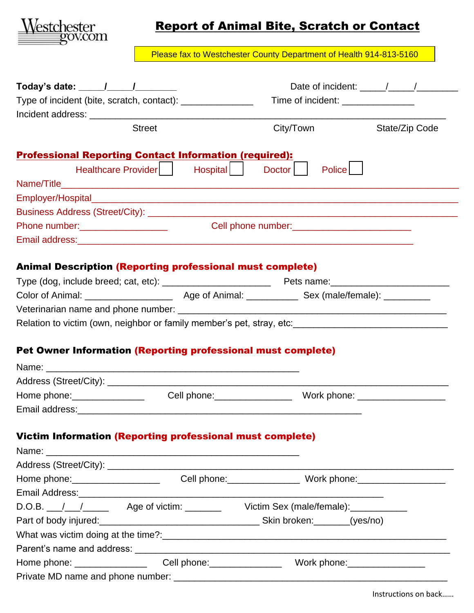

## Report of Animal Bite, Scratch or Contact

Please fax to Westchester County Department of Health 914-813-5160

| Today's date: $\frac{1}{\sqrt{1-\frac{1}{2}}}\frac{1}{\sqrt{1-\frac{1}{2}}}\frac{1}{\sqrt{1-\frac{1}{2}}}\frac{1}{\sqrt{1-\frac{1}{2}}}\frac{1}{\sqrt{1-\frac{1}{2}}}\frac{1}{\sqrt{1-\frac{1}{2}}}\frac{1}{\sqrt{1-\frac{1}{2}}}\frac{1}{\sqrt{1-\frac{1}{2}}}\frac{1}{\sqrt{1-\frac{1}{2}}}\frac{1}{\sqrt{1-\frac{1}{2}}}\frac{1}{\sqrt{1-\frac{1}{2}}}\frac{1}{\sqrt{1-\frac{1}{2}}}\frac{1}{\sqrt{1-\frac{1}{$ | Date of incident: $\frac{1}{\sqrt{1-\frac{1}{2}}}\frac{1}{\sqrt{1-\frac{1}{2}}}\frac{1}{\sqrt{1-\frac{1}{2}}}\frac{1}{\sqrt{1-\frac{1}{2}}}\frac{1}{\sqrt{1-\frac{1}{2}}}\frac{1}{\sqrt{1-\frac{1}{2}}}\frac{1}{\sqrt{1-\frac{1}{2}}}\frac{1}{\sqrt{1-\frac{1}{2}}}\frac{1}{\sqrt{1-\frac{1}{2}}}\frac{1}{\sqrt{1-\frac{1}{2}}}\frac{1}{\sqrt{1-\frac{1}{2}}}\frac{1}{\sqrt{1-\frac{1}{2}}}\frac{1}{\sqrt{1-\$<br>Type of incident (bite, scratch, contact): _________________<br>Time of incident: _______________ |                                |                |
|--------------------------------------------------------------------------------------------------------------------------------------------------------------------------------------------------------------------------------------------------------------------------------------------------------------------------------------------------------------------------------------------------------------------|---------------------------------------------------------------------------------------------------------------------------------------------------------------------------------------------------------------------------------------------------------------------------------------------------------------------------------------------------------------------------------------------------------------------------------------------------------------------------------------------------------------------|--------------------------------|----------------|
|                                                                                                                                                                                                                                                                                                                                                                                                                    |                                                                                                                                                                                                                                                                                                                                                                                                                                                                                                                     |                                |                |
|                                                                                                                                                                                                                                                                                                                                                                                                                    |                                                                                                                                                                                                                                                                                                                                                                                                                                                                                                                     |                                |                |
| <b>Street</b>                                                                                                                                                                                                                                                                                                                                                                                                      |                                                                                                                                                                                                                                                                                                                                                                                                                                                                                                                     | City/Town                      | State/Zip Code |
| <b>Professional Reporting Contact Information (required):</b>                                                                                                                                                                                                                                                                                                                                                      |                                                                                                                                                                                                                                                                                                                                                                                                                                                                                                                     |                                |                |
| Healthcare Provider                                                                                                                                                                                                                                                                                                                                                                                                | Hospital                                                                                                                                                                                                                                                                                                                                                                                                                                                                                                            | <b>Police</b><br>Doctor        |                |
|                                                                                                                                                                                                                                                                                                                                                                                                                    |                                                                                                                                                                                                                                                                                                                                                                                                                                                                                                                     |                                |                |
|                                                                                                                                                                                                                                                                                                                                                                                                                    |                                                                                                                                                                                                                                                                                                                                                                                                                                                                                                                     |                                |                |
|                                                                                                                                                                                                                                                                                                                                                                                                                    |                                                                                                                                                                                                                                                                                                                                                                                                                                                                                                                     |                                |                |
|                                                                                                                                                                                                                                                                                                                                                                                                                    |                                                                                                                                                                                                                                                                                                                                                                                                                                                                                                                     | Cell phone number:<br><u> </u> |                |
|                                                                                                                                                                                                                                                                                                                                                                                                                    |                                                                                                                                                                                                                                                                                                                                                                                                                                                                                                                     |                                |                |
| <b>Animal Description (Reporting professional must complete)</b>                                                                                                                                                                                                                                                                                                                                                   |                                                                                                                                                                                                                                                                                                                                                                                                                                                                                                                     |                                |                |
|                                                                                                                                                                                                                                                                                                                                                                                                                    |                                                                                                                                                                                                                                                                                                                                                                                                                                                                                                                     |                                |                |
|                                                                                                                                                                                                                                                                                                                                                                                                                    |                                                                                                                                                                                                                                                                                                                                                                                                                                                                                                                     |                                |                |
|                                                                                                                                                                                                                                                                                                                                                                                                                    |                                                                                                                                                                                                                                                                                                                                                                                                                                                                                                                     |                                |                |
| Relation to victim (own, neighbor or family member's pet, stray, etc: ______________________________                                                                                                                                                                                                                                                                                                               |                                                                                                                                                                                                                                                                                                                                                                                                                                                                                                                     |                                |                |
| Pet Owner Information (Reporting professional must complete)                                                                                                                                                                                                                                                                                                                                                       |                                                                                                                                                                                                                                                                                                                                                                                                                                                                                                                     |                                |                |
|                                                                                                                                                                                                                                                                                                                                                                                                                    |                                                                                                                                                                                                                                                                                                                                                                                                                                                                                                                     |                                |                |
|                                                                                                                                                                                                                                                                                                                                                                                                                    |                                                                                                                                                                                                                                                                                                                                                                                                                                                                                                                     |                                |                |
|                                                                                                                                                                                                                                                                                                                                                                                                                    |                                                                                                                                                                                                                                                                                                                                                                                                                                                                                                                     |                                |                |
|                                                                                                                                                                                                                                                                                                                                                                                                                    |                                                                                                                                                                                                                                                                                                                                                                                                                                                                                                                     |                                |                |
| <b>Victim Information (Reporting professional must complete)</b>                                                                                                                                                                                                                                                                                                                                                   |                                                                                                                                                                                                                                                                                                                                                                                                                                                                                                                     |                                |                |
|                                                                                                                                                                                                                                                                                                                                                                                                                    |                                                                                                                                                                                                                                                                                                                                                                                                                                                                                                                     |                                |                |
|                                                                                                                                                                                                                                                                                                                                                                                                                    |                                                                                                                                                                                                                                                                                                                                                                                                                                                                                                                     |                                |                |
|                                                                                                                                                                                                                                                                                                                                                                                                                    |                                                                                                                                                                                                                                                                                                                                                                                                                                                                                                                     |                                |                |
|                                                                                                                                                                                                                                                                                                                                                                                                                    |                                                                                                                                                                                                                                                                                                                                                                                                                                                                                                                     |                                |                |
|                                                                                                                                                                                                                                                                                                                                                                                                                    |                                                                                                                                                                                                                                                                                                                                                                                                                                                                                                                     |                                |                |
| Email Address: 2008. 2009. 2010. 2010. 2010. 2010. 2010. 2010. 2010. 2010. 2010. 2010. 2010. 2010. 2010. 2010<br>D.O.B. / / / Age of victim: Victim Sex (male/female):                                                                                                                                                                                                                                             |                                                                                                                                                                                                                                                                                                                                                                                                                                                                                                                     |                                |                |
|                                                                                                                                                                                                                                                                                                                                                                                                                    |                                                                                                                                                                                                                                                                                                                                                                                                                                                                                                                     |                                |                |
|                                                                                                                                                                                                                                                                                                                                                                                                                    |                                                                                                                                                                                                                                                                                                                                                                                                                                                                                                                     |                                |                |
|                                                                                                                                                                                                                                                                                                                                                                                                                    |                                                                                                                                                                                                                                                                                                                                                                                                                                                                                                                     |                                |                |
|                                                                                                                                                                                                                                                                                                                                                                                                                    |                                                                                                                                                                                                                                                                                                                                                                                                                                                                                                                     |                                |                |

Instructions on back……